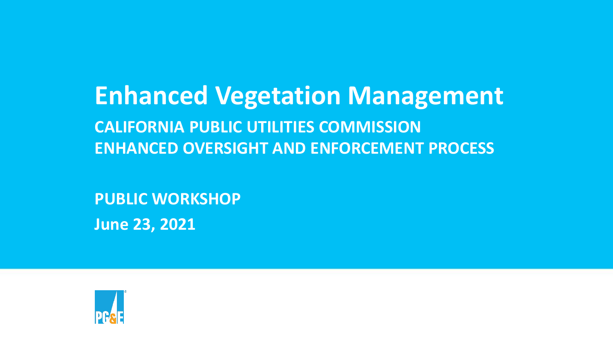**Enhanced Vegetation Management CALIFORNIA PUBLIC UTILITIES COMMISSION ENHANCED OVERSIGHT AND ENFORCEMENT PROCESS**

**PUBLIC WORKSHOP June 23, 2021**

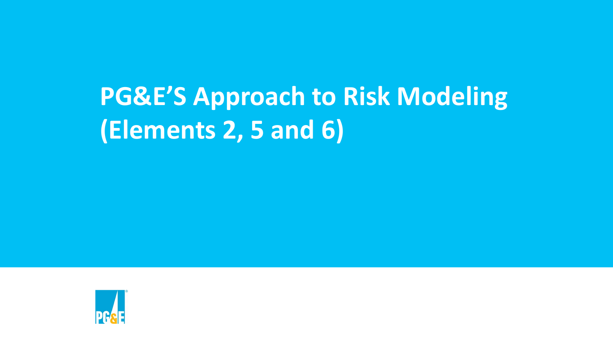# **PG&E'S Approach to Risk Modeling (Elements 2, 5 and 6)**

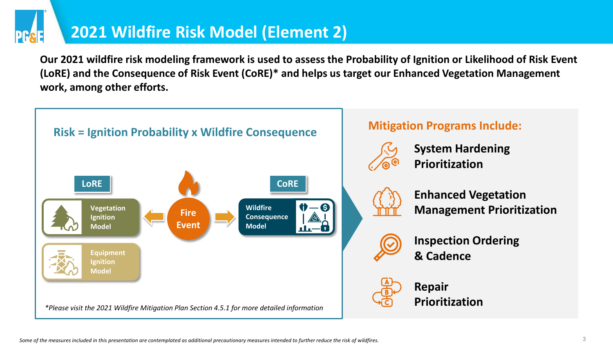#### **2021 Wildfire Risk Model (Element 2)**

**Our 2021 wildfire risk modeling framework is used to assess the Probability of Ignition or Likelihood of Risk Event (LoRE) and the Consequence of Risk Event (CoRE)\* and helps us target our Enhanced Vegetation Management work, among other efforts.** 

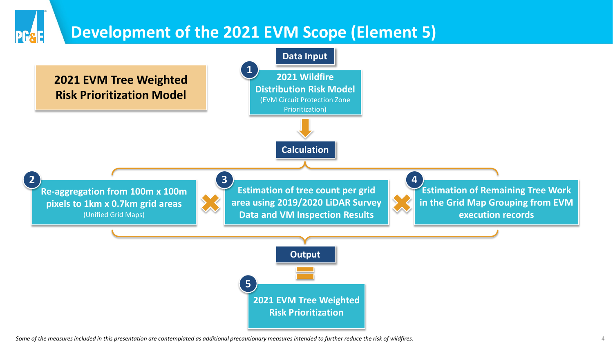#### **Development of the 2021 EVM Scope (Element 5)**



*Some of the measures included in this presentation are contemplated as additional precautionary measures intended to further reduce the risk of wildfires.* 4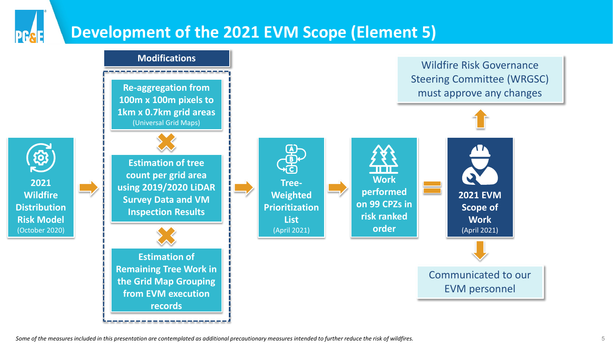#### **Development of the 2021 EVM Scope (Element 5)**

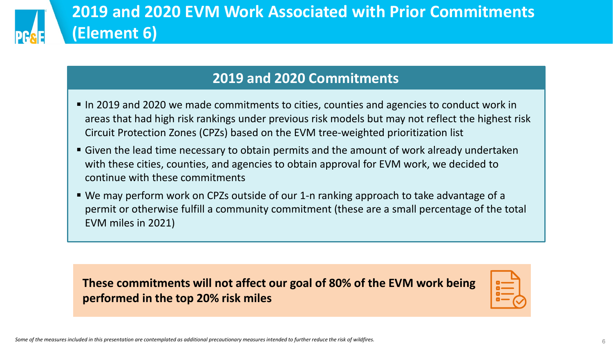

#### **2019 and 2020 Commitments**

- In 2019 and 2020 we made commitments to cities, counties and agencies to conduct work in areas that had high risk rankings under previous risk models but may not reflect the highest risk Circuit Protection Zones (CPZs) based on the EVM tree-weighted prioritization list
- Given the lead time necessary to obtain permits and the amount of work already undertaken with these cities, counties, and agencies to obtain approval for EVM work, we decided to continue with these commitments
- We may perform work on CPZs outside of our 1-n ranking approach to take advantage of a permit or otherwise fulfill a community commitment (these are a small percentage of the total EVM miles in 2021)

**These commitments will not affect our goal of 80% of the EVM work being performed in the top 20% risk miles**

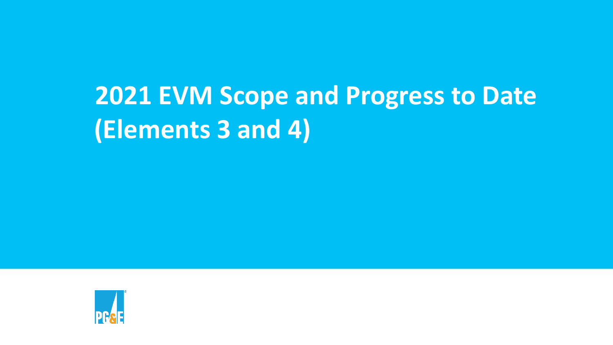# **2021 EVM Scope and Progress to Date (Elements 3 and 4)**

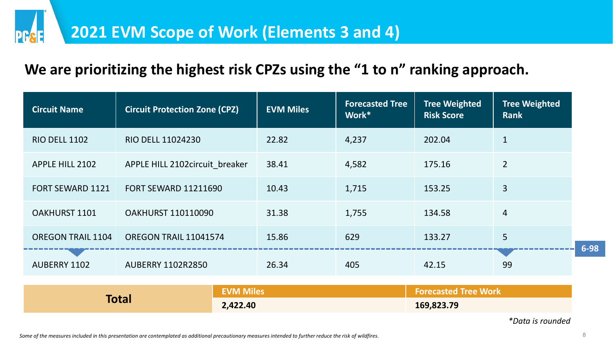#### **We are prioritizing the highest risk CPZs using the "1 to n" ranking approach.**

| <b>Circuit Name</b>      | <b>Circuit Protection Zone (CPZ)</b> | <b>EVM Miles</b> | <b>Forecasted Tree</b><br>Work* | <b>Tree Weighted</b><br><b>Risk Score</b> | <b>Tree Weighted</b><br><b>Rank</b> |
|--------------------------|--------------------------------------|------------------|---------------------------------|-------------------------------------------|-------------------------------------|
| <b>RIO DELL 1102</b>     | <b>RIO DELL 11024230</b>             | 22.82            | 4,237                           | 202.04                                    |                                     |
| <b>APPLE HILL 2102</b>   | APPLE HILL 2102circuit breaker       | 38.41            | 4,582                           | 175.16                                    | $\overline{2}$                      |
| <b>FORT SEWARD 1121</b>  | <b>FORT SEWARD 11211690</b>          | 10.43            | 1,715                           | 153.25                                    | $\overline{3}$                      |
| <b>OAKHURST 1101</b>     | <b>OAKHURST 110110090</b>            | 31.38            | 1,755                           | 134.58                                    | 4                                   |
| <b>OREGON TRAIL 1104</b> | OREGON TRAIL 11041574                | 15.86            | 629                             | 133.27                                    | 5                                   |
| AUBERRY 1102             | <b>AUBERRY 1102R2850</b>             | 26.34            | 405                             | 42.15                                     | 99                                  |

|       | <b>EVM Miles</b> | <b>Forecasted Tree Work</b> |
|-------|------------------|-----------------------------|
| Total | 2,422.40         | 169,823.79                  |

*\*Data is rounded*

**6-98**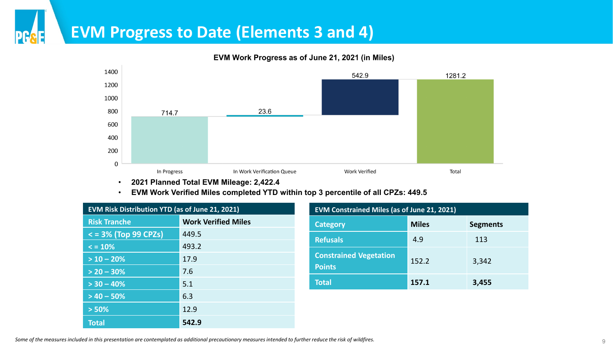#### **EVM Progress to Date (Elements 3 and 4)**

DC



EVM Work Progress as of June 21, 2021 (in Miles)

• **2021 Planned Total EVM Mileage: 2,422.4**

#### • **EVM Work Verified Miles completed YTD within top 3 percentile of all CPZs: 449.5**

| EVM Risk Distribution YTD (as of June 21, 2021) |                            |  |
|-------------------------------------------------|----------------------------|--|
| <b>Risk Tranche</b>                             | <b>Work Verified Miles</b> |  |
| $\overline{5}$ = 3% (Top 99 CPZs)               | 449.5                      |  |
| $\le$ = 10%                                     | 493.2                      |  |
| $> 10 - 20%$                                    | 17.9                       |  |
| $> 20 - 30\%$                                   | 7.6                        |  |
| $> 30 - 40\%$                                   | 5.1                        |  |
| $> 40 - 50%$                                    | 6.3                        |  |
| > 50%                                           | 12.9                       |  |
| <b>Total</b>                                    | 542.9                      |  |

| <b>EVM Constrained Miles (as of June 21, 2021)</b> |              |                 |
|----------------------------------------------------|--------------|-----------------|
| <b>Category</b>                                    | <b>Miles</b> | <b>Segments</b> |
| <b>Refusals</b>                                    | 4.9          | 113             |
| <b>Constrained Vegetation</b><br><b>Points</b>     | 152.2        | 3,342           |
| <b>Total</b>                                       | 157.1        | 3,455           |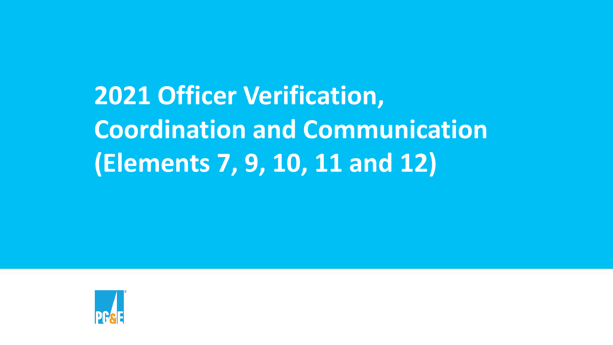**2021 Officer Verification, Coordination and Communication (Elements 7, 9, 10, 11 and 12)**

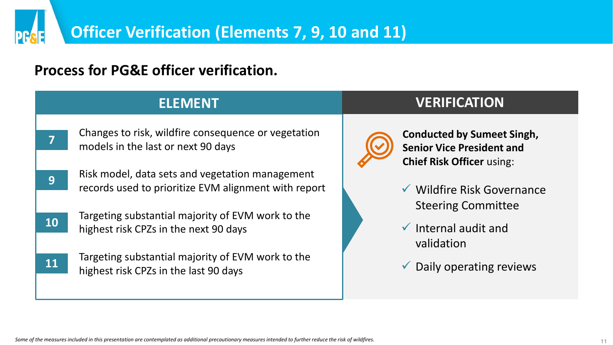#### **Process for PG&E officer verification.**

**PG** 

|    | <b>ELEMENT</b>                                                                                          | <b>VERIFICATION</b>                                                                                       |
|----|---------------------------------------------------------------------------------------------------------|-----------------------------------------------------------------------------------------------------------|
| 7  | Changes to risk, wildfire consequence or vegetation<br>models in the last or next 90 days               | <b>Conducted by Sumeet Singh,</b><br><b>Senior Vice President and</b><br><b>Chief Risk Officer using:</b> |
| 9  | Risk model, data sets and vegetation management<br>records used to prioritize EVM alignment with report | ▼ Wildfire Risk Governance                                                                                |
| 10 | Targeting substantial majority of EVM work to the<br>highest risk CPZs in the next 90 days              | <b>Steering Committee</b><br>$\checkmark$ Internal audit and<br>validation                                |
| 11 | Targeting substantial majority of EVM work to the<br>highest risk CPZs in the last 90 days              | Daily operating reviews                                                                                   |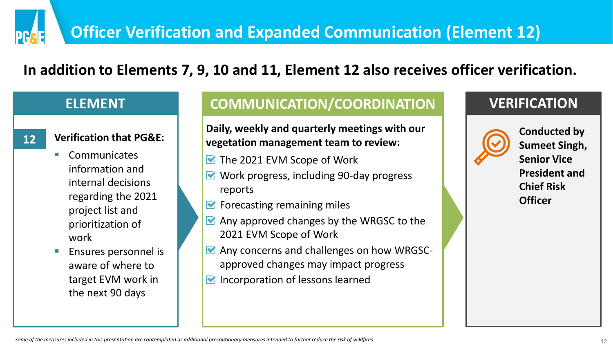#### **In addition to Elements 7, 9, 10 and 11, Element 12 also receives officer verification.**

#### **ELEMENT**

PRRF

- **Verification that PG&E:**
- **Communicates** information and internal decisions regarding the 2021 project list and prioritization of work
- Ensures personnel is aware of where to target EVM work in the next 90 days

#### **COMMUNICATION/COORDINATION VERIFICATION**

**Daily, weekly and quarterly meetings with our 12 verification that PG&E:** vegetation management team to review: **12 Conducted by Conducted by Conducted by Conducted by Conducted by Conducted by Conducted by Conducted by Conducted by Conducted by** 

- The 2021 EVM Scope of Work
- Work progress, including 90-day progress reports
- $\blacksquare$  Forecasting remaining miles
- $\blacktriangleright$  Any approved changes by the WRGSC to the 2021 EVM Scope of Work
- **M** Any concerns and challenges on how WRGSCapproved changes may impact progress
- $\blacksquare$  Incorporation of lessons learned



**Sumeet Singh, Senior Vice President and Chief Risk Officer**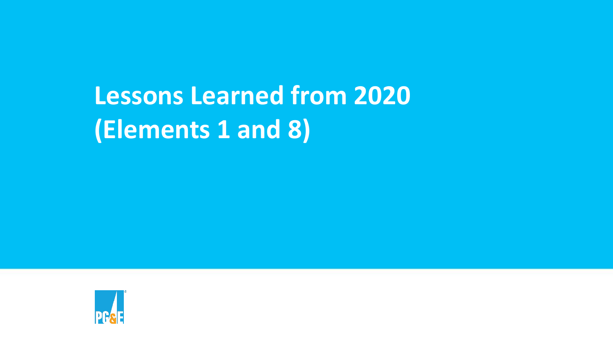# **Lessons Learned from 2020 (Elements 1 and 8)**

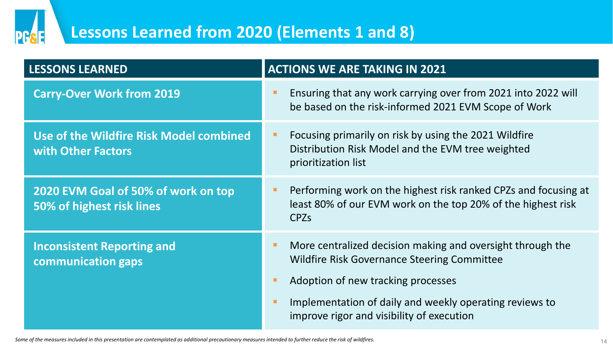

### **Lessons Learned from 2020 (Elements 1 and 8)**

| <b>LESSONS LEARNED</b>                                           | <b>ACTIONS WE ARE TAKING IN 2021</b>                                                                                                                                                                                                                           |  |  |
|------------------------------------------------------------------|----------------------------------------------------------------------------------------------------------------------------------------------------------------------------------------------------------------------------------------------------------------|--|--|
| <b>Carry-Over Work from 2019</b>                                 | Ensuring that any work carrying over from 2021 into 2022 will<br>be based on the risk-informed 2021 EVM Scope of Work                                                                                                                                          |  |  |
| Use of the Wildfire Risk Model combined<br>with Other Factors    | Focusing primarily on risk by using the 2021 Wildfire<br>Distribution Risk Model and the EVM tree weighted<br>prioritization list                                                                                                                              |  |  |
| 2020 EVM Goal of 50% of work on top<br>50% of highest risk lines | Performing work on the highest risk ranked CPZs and focusing at<br>least 80% of our EVM work on the top 20% of the highest risk<br><b>CPZs</b>                                                                                                                 |  |  |
| <b>Inconsistent Reporting and</b><br>communication gaps          | More centralized decision making and oversight through the<br><b>Wildfire Risk Governance Steering Committee</b><br>Adoption of new tracking processes<br>Implementation of daily and weekly operating reviews to<br>improve rigor and visibility of execution |  |  |

Some of the measures included in this presentation are contemplated as additional precautionary measures intended to further reduce the risk of wildfires.<br>
14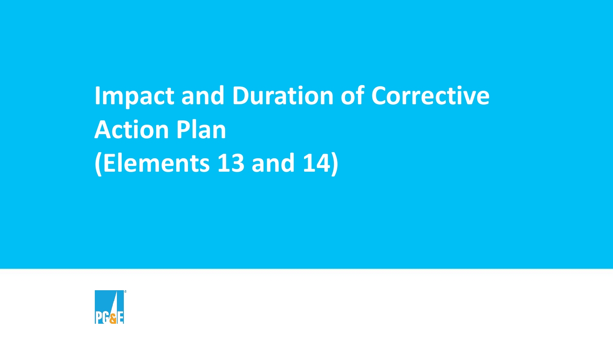# **Impact and Duration of Corrective Action Plan (Elements 13 and 14)**